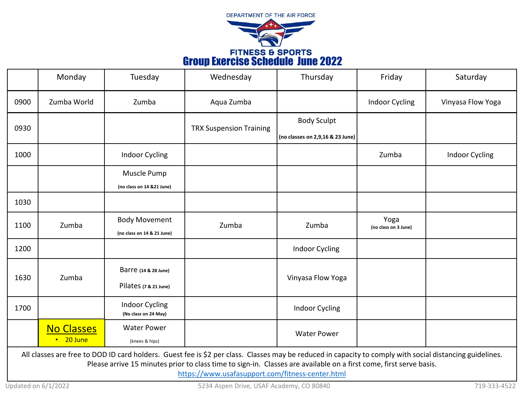

|      | Monday            | Tuesday                                       | Wednesday                      | Thursday                         | Friday                       | Saturday              |
|------|-------------------|-----------------------------------------------|--------------------------------|----------------------------------|------------------------------|-----------------------|
| 0900 | Zumba World       | Zumba                                         | Aqua Zumba                     |                                  | <b>Indoor Cycling</b>        | Vinyasa Flow Yoga     |
| 0930 |                   |                                               | <b>TRX Suspension Training</b> | <b>Body Sculpt</b>               |                              |                       |
|      |                   |                                               |                                | (no classes on 2,9,16 & 23 June) |                              |                       |
| 1000 |                   | <b>Indoor Cycling</b>                         |                                |                                  | Zumba                        | <b>Indoor Cycling</b> |
|      |                   | Muscle Pump                                   |                                |                                  |                              |                       |
|      |                   | (no class on 14 &21 June)                     |                                |                                  |                              |                       |
| 1030 |                   |                                               |                                |                                  |                              |                       |
| 1100 | Zumba             | <b>Body Movement</b>                          | Zumba                          | Zumba                            | Yoga<br>(no class on 3 June) |                       |
|      |                   | (no class on 14 & 21 June)                    |                                |                                  |                              |                       |
| 1200 |                   |                                               |                                | <b>Indoor Cycling</b>            |                              |                       |
| 1630 | Zumba             | Barre (14 & 28 June)                          | Vinyasa Flow Yoga              |                                  |                              |                       |
|      |                   | Pilates (7 & 21 June)                         |                                |                                  |                              |                       |
| 1700 |                   | <b>Indoor Cycling</b><br>(No class on 24 May) |                                | <b>Indoor Cycling</b>            |                              |                       |
|      | <b>No Classes</b> | <b>Water Power</b>                            |                                | <b>Water Power</b>               |                              |                       |
|      | $\cdot$ 20 June   | (knees & hips)                                | $\mathbf{A}$                   |                                  |                              |                       |

All classes are free to DOD ID card holders. Guest fee is \$2 per class. Classes may be reduced in capacity to comply with social distancing guidelines. Please arrive 15 minutes prior to class time to sign-in. Classes are available on a first come, first serve basis.

<https://www.usafasupport.com/fitness-center.html>